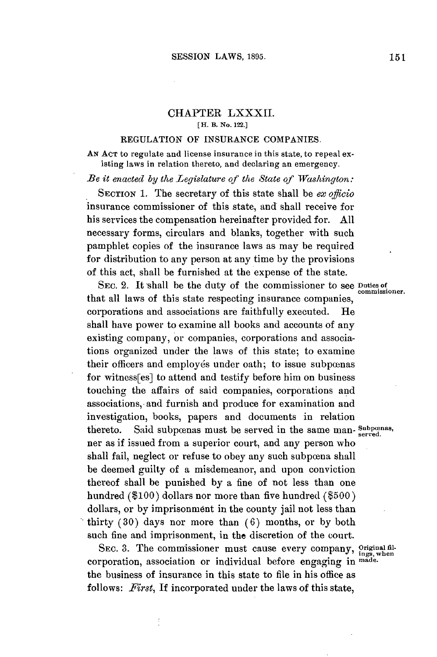## CHAPTER LXXXII. **[ H. B. No. 122.]**

## **REGULATION** OF **INSURANCE COMPANIES.**

**AN ACT** to regulate and license insurance in this state, to repeal existing laws in relation thereto, and declaring an emergency.

*Be* it *enacted by the Legislature of the State of Washington:*

**SECTION 1.** The secretary of this state shall be *ex officio* insurance commissioner of this state, and shall receive for his services the compensation hereinafter provided for. **All** necessary forms, circulars and blanks, together with such pamphlet copies of the insurance laws as may be required for distribution to any person at any time **by** the provisions of this act, shall be furnished at the expense of the state.

SEC. 2. It shall be the duty of the commissioner to see **Duties of** that all laws of this state respecting insurance companies, corporations and associations are faithfully executed. He shall have power to examine all books and accounts of any existing company, or companies, corporations and associations organized under the laws of this state; to examine their officers and employés under oath; to issue subpœnas for witness[es] to attend and testify before him on business touching the affairs of said companies, corporations and associations, and furnish and produce for examination and investigation, books, papers and documents in relation thereto. Said subpcenas must be served in the same man- Subpcenas, ner as if issued from a superior court, and any person who shall fail, neglect or refuse to obey any such subpoena shall be deemed guilty of a misdemeanor, and upon conviction thereof shall be punished **by** a fine of not less than one hundred **(\$100)** dollars nor more than five hundred **(\$500)** dollars, or **by** imprisonment in the county jail not less than thirty **(30)** days nor more than **(6)** months, or **by** both such fine and imprisonment, in the discretion of the court.

SEC. 3. The commissioner must cause every company, Original filcorporation, association or individual before engaging **in made.** the business of insurance in this state to file in his office as follows: *First,* If incorporated under the laws of this state,

 $\vdots$ 

**commissioner.**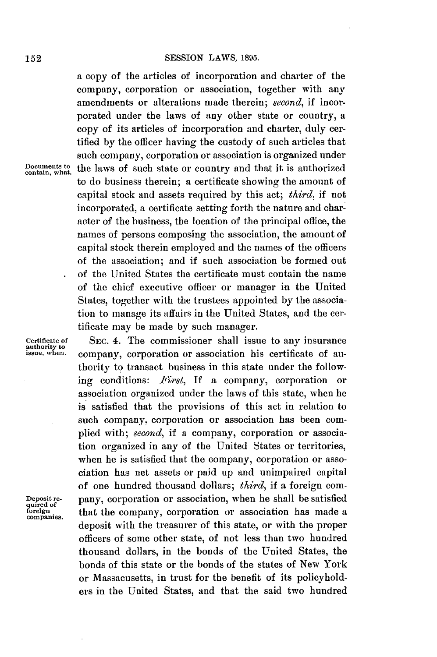a copy of the articles of incorporation and charter of the company, corporation or association, together with any amendments or alterations made therein; *second,* if incorporated under the laws of any other state or country, a copy of its articles of incorporation and charter, duly certified **by** the officer having the custody of such articles that such company, corporation or association is organized under Documents to the laws of such state or country and that it is authorized to do business therein; a certificate showing the amount of capital stock and assets required **by** this act; *third,* if not incorporated, a certificate setting forth the nature and character of the business, the location of the principal office, the names of persons composing the association, the amount of capital stock therein employed and the names of the officers of the association; and if such association be formed out of the United States the certificate must contain the name of the chief executive officer or manager in the United States, together with the trustees appointed **by** the association to manage its affairs in the United States, and the certificate may be made **by** such manager.

Deposit re-<br>quired of<br>foreign companies.

**certificate of SEc.** 4. **The** commissioner shall issue to any insurance **authority to** company, corporation or association his certificate of authority to transact business in this state under the following conditions: *First,* **If** a company, corporation or association organized under the laws of this state, when he is satisfied that the provisions of this act in relation to such company, corporation or association has been complied with; *second,* if a company, corporation or association organized in any of the United States or territories, when he is satisfied that the company, corporation or association has net assets or paid up and unimpaired capital of one hundred thousand dollars; *third,* if a foreign company, corporation or association, when he shall be satisfied that the company, corporation or association has made a deposit with the treasurer of this state, or with the proper officers of some other state, of not less than two hundred thousand dollars, in the bonds of the United States, the bonds of this state or the bonds of the states of New York or Massacusetts, in trust for the benefit of its policyholders in the United States, and that the said two hundred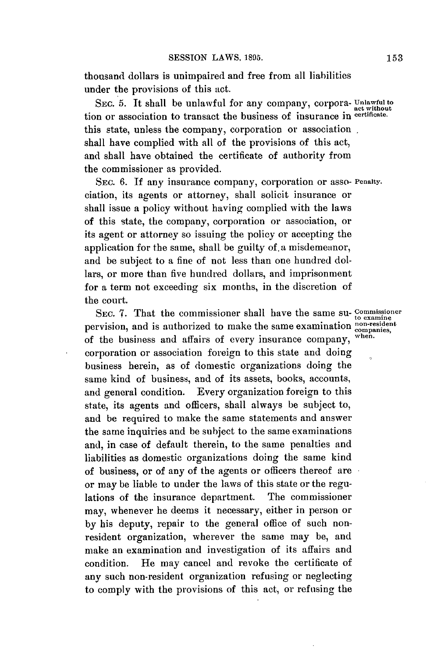thousand dollars is unimpaired and free from all liabilities under the provisions of this act.

SEc. **5.** It shall be unlawful for any company, corpora- **Unlawful to act without** tion or association to transact the business of insurance in **certificate.** this state, unless the company, corporation or association. shall have complied with all of the provisions of this act, and shall have obtained the certificate of authority from the commissioner as provided.

**SEC. 6. If** any insurance company, corporation or asso- **Penalty.** ciation, its agents or attorney, shall solicit insurance or shall issue a policy without having complied with the laws of this state, the company, corporation or association, or its agent or attorney so issuing the policy or accepting the application for the same, shall be guilty of,a misdemeanor, and be subject to a fine of not less than one hundred dollars, or more than five hundred dollars, and imprisonment for a term not exceeding six months, in the discretion of the court.

SEC. 7. That the commissioner shall have the same su- Commissioner pervision, and is authorized to make the same examination **non-resient** of the business and affairs of every insurance company, corporation or association foreign to this state and doing business herein, as of domestic organizations doing the same kind of business, and of its assets, books, accounts, and general condition. Every organization foreign to this state, its agents and officers, shall always be subject to, and be required to make the same statements and answer the same inquiries and be subject to the same examinations and, in case of default therein, to the same penalties and liabilities as domestic organizations doing the same kind of business, or of any of the agents or officers thereof are or may be liable to under the laws of this state or the regulations of the insurance department. The commissioner may, whenever he deems it necessary, either in person or **by** his deputy, repair to the general office of such nonresident organization, wherever the same may be, and make an examination and investigation of its affairs and condition. He may cancel and revoke the certificate of any such non-resident organization refusing or neglecting to comply with the provisions of this act, or refusing the

when.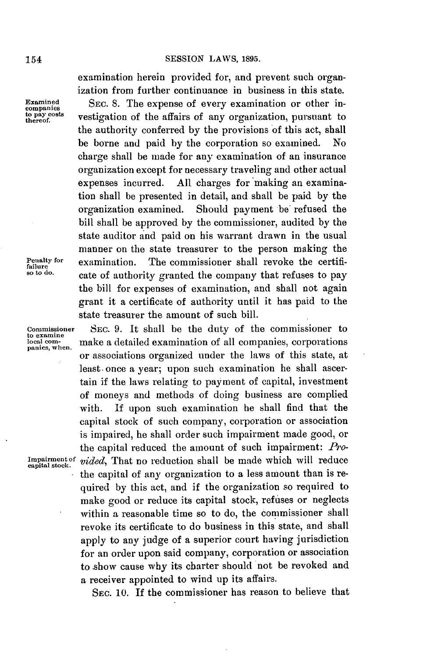examination herein provided for, and prevent such organization from further continuance in business in this state.

**Examined SEC. 8.** The expense of every examination or other in- **companies to pay comparise**<br>to pay costs **vestigation** of the affairs of any organization, pursuant to<br>thereof. the authority conferred **by** the provisions of this act, shall be borne and paid **by** the corporation so examined. No charge shall be made for any examination of an insurance organization except for necessary traveling and other actual expenses incurred. **All** charges for making an examination shall be presented in detail, and shall be paid **by** the organization examined. Should payment be refused the bill shall be approved **by** the commissioner, audited **by** the state auditor and paid on his warrant drawn in the usual manner on the state treasurer to the person making the **Penalty for examination.** The commissioner shall revoke the certifi-<br>so to do. cate of authority granted the company that refuses to pay the bill for expenses of examination, and shall not again grant it a certificate of authority until it has paid to the state treasurer the amount of such bill.

**Commissioner SEC. 9.** It shall be the duty of the commissioner to **local com-** make a detailed examination of all companies, corporations **panies, when.** or associations organized under the laws of this state, at least. once a year; upon such examination he shall ascertain if the laws relating to payment of capital, investment of moneys and methods of doing business are complied with. **If** upon such examination he shall find that the capital stock of such company, corporation or association is impaired, he shall order such impairment made good, or the capital reduced the amount of such impairment: *Pro-*Impairment of *vided*, That no reduction shall be made which will reduce the capital of any organization to a less amount than is required **by** this act, and if the organization so required to make good or reduce its capital stock, refuses or neglects within a reasonable time so to do, the commissioner shall revoke its certificate to do business in this state, and shall apply to any judge of a superior court having jurisdiction for an order upon said company, corporation or association to show cause why its charter should not be revoked and a receiver appointed to wind up its affairs.

**SEc. 10. If** the commissioner has reason to believe that

**to examine**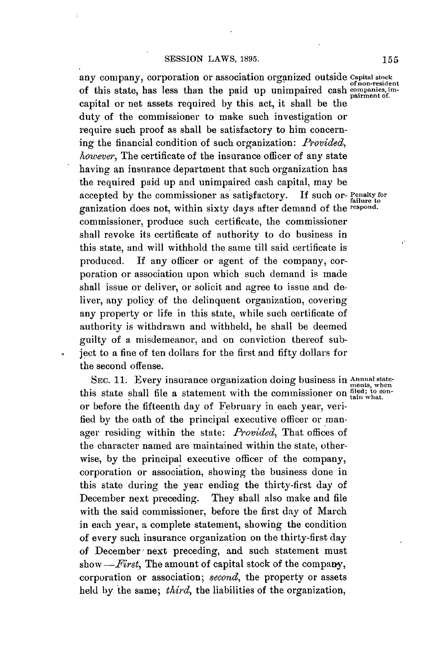any company, corporation or association organized outside **Capital stock** ofnon-resident of this state, has less than the paid up unimpaired cash companies, imcapital or net assets required **by** this act, it shall be the duty of the commissioner to make such investigation or require such proof as shall be satisfactory to him concerning the financial condition of such organization: *Provided, however,* The certificate of the insurance officer of any state having an insurance department that such organization has the required paid up and unimpaired cash capital, may be accepted **by** the commissioner as satisfactory. **If** such or- **Penalty for failure to** ganization does not, within sixty days after demand of the **respond.** commissioner, produce such certificate, the commissioner shall revoke its certificate of authority to do business in this state, and will withhold the same till said certificate is produced. If any officer or agent of the company, corporation or association upon which such demand is made shall issue or deliver, or solicit and agree to issue and deliver, any policy of the delinquent organization, covering any property or life in this state, while such certificate of authority is withdrawn and withheld, he shall be deemed guilty of a misdemeanor, and on conviction thereof subject to a fine of ten dollars for the first and fifty dollars for the second offense.

 $\ddot{\phantom{0}}$ 

SEC. 11. Every insurance organization doing business in *Annual* statethis state shall file a statement with the commissioner on  $\frac{\text{filed}}{\text{tain what}}$ . or before the fifteenth day of February in each year, verified **by** the oath of the principal executive officer or manager residing within the state: *Provided,* That offices of the character named are maintained within the state, otherwise, **by** the principal executive officer of the company, corporation or association, showing the business done in this state during the year ending the thirty-first day of December next preceding. They shall also make and file with the said commissioner, before the first day of March in each year, a complete statement, showing the condition of every such insurance organization on the thirty-first day of December next preceding, and such statement must *show-First,* The amount of capital stock of the company, corporation or association; *second,* the property or assets held **by** the same; *third,* the liabilities of the organization,

ments, when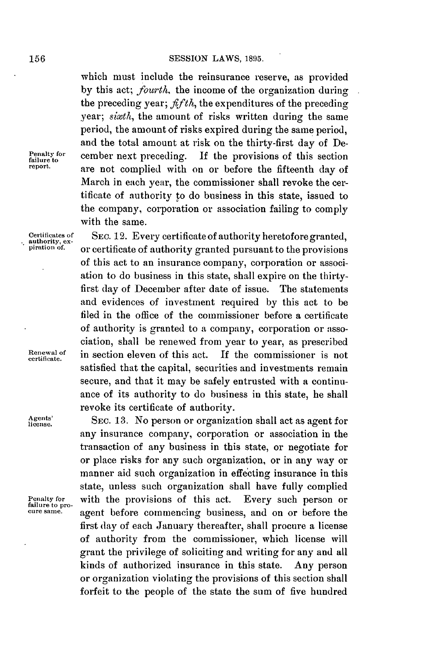which must include the reinsurance reserve, as provided **by** this act; *fourth,* the income of the organization during the preceding year;  $\hat{f}f/\hat{f}h$ , the expenditures of the preceding *year; sixth,* the amount of risks written during the same period, the amount of risks expired during the same period, and the total amount at risk on the thirty-first day of De-**Penalty for** cember next preceding. **If** the provisions of this section **failure to report.** are not complied with on or before the fifteenth **day** of March in each year, the commissioner shall revoke the certificate of authority to do business in this state, issued to the company, corporation or association failing to comply with the same.

**Certificates of SEC. 12.** Every certificate of authority heretofore granted, **authority, ex-** <sup>t</sup> **piration** of. or certificate of authority granted pursuant to the provisions of this act to an insurance company, corporation or association to do business in this state, shall expire on the thirtyfirst day of December after date of issue. The statements and evidences of investment required **by** this act to be filed in the office of the commissioner before a certificate of authority is granted to a company, corporation or association, shall be renewed from year to year, as prescribed **Renewal of** in section eleven of this act. **If** the commissioner is not **certificate.** satisfied that the capital, securities and investments remain secure, and that it may be safely entrusted with a continuance of its authority to do business in this state, he shall revoke its certificate of authority.

liense. SEC. **13.** No person or organization shall act as agent for any insurance company, corporation or association in the transaction of any business in this state, or negotiate for or place risks for any such organization, or in any way or manner aid such organization in effecting insurance in this state, unless such organization shall have fully complied Penalty for **with the provisions of this act.** Every such person or **failure** to proagent before commencing business, and on or before the first **day** of each January thereafter, shall procure a license of authority from the commissioner, which license will grant the privilege of soliciting and writing for any and all kinds of authorized insurance in this state. Any person or organization violating the provisions of this section shall forfeit to the people of the state the sum of five hundred

l.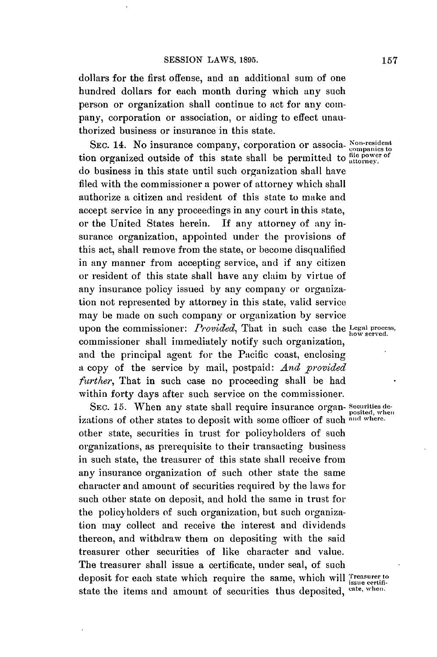dollars for the first offense, and an additional sum of one hundred dollars for each month during which any such person or organization shall continue to act for any company, corporation or association, or aiding to effect unauthorized business or insurance in this state.

SEC. 14. No insurance company, corporation or associa- **Xon-resident** tion organized outside of this state shall be permitted to **file power of** do business in this state until such organization shall have filed with the commissioner a power of attorney which shall authorize a citizen and resident of this state to make and accept service in any proceedings in any court in this state, or the United States herein. If any attorney of any insurance organization, appointed under the provisions of this act, shall remove from the state, or become disqualified in any manner from accepting service, and if any citizen or resident of this state shall have any claim **by** virtue of any insurance policy issued **by** any company or organization not represented **by** attorney in this state, valid service may be made on such company or organization **by** service upon the commissioner: *Provided*, That in such case the Legal process, commissioner shall immediately notify such organization, and the principal agent for the Pacific coast, enclosing a copy of the service **by** mail, postpaid: *And provided further,* That in such case no proceeding shall be had within forty days after such service on the commissioner.

**SEC. 15.** When any state shall require insurance organ- **securities de**izations of other states to deposit with some officer of such **and where.** other state, securities in trust for policyholders of such organizations, as prerequisite to their transacting business in such state, the treasurer of this state shall receive from any insurance organization of such other state the same character and amount of securities required **by** the laws for such other state on deposit, and hold the same in trust for the policyholders of such organization, but such organization may collect and receive the interest and dividends thereon, and withdraw them on depositing with the said treasurer other securities of like character and value. The treasurer shall issue a certificate, under seal, of such deposit for each state which require the same, which will *issue certifi*state the items and amount of securities thus deposited, cate, when.

posited, when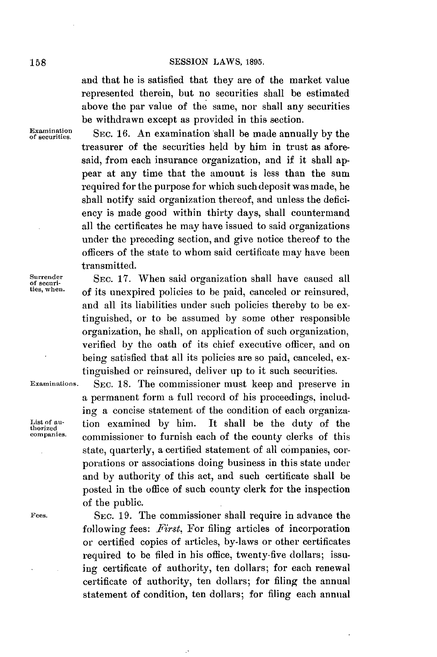and that he is satisfied that they are of the market value represented therein, but no securities shall be estimated above the par value of the same, nor shall any securities be withdrawn except as provided in this section.

xa ninasion **SEC. 16.** An examination shall be made annually **by** the treasurer of the securities held **by** him in trust as aforesaid, from each insurance organization, and if it shall appear at any time that the amount is less than the sum required for the purpose for which such deposit was made, he shall notify said organization thereof, and unless the deficiency is made good within thirty days, shall countermand all the certificates he may have issued to said organizations under the preceding section, and give notice thereof to the officers of the state to whom said certificate may have been transmitted.

Surrender SEC. 17. When said organization shall have caused all the securi-<br>
star and star and the security of the security of security of security of security of security of security of the security of security of the sec of its unexpired policies to be paid, canceled or reinsured, and all its liabilities under such policies thereby to be extinguished, or to be assumed **by** some other responsible organization, he shall, on application of such organization, verified **by** the oath of its chief executive officer, and on being satisfied that all its policies are so paid, canceled, extinguished or reinsured, deliver up to it such securities.

**Examinations. SEC. 18.** The commissioner must keep and preserve in a permanent form a full record of his proceedings, including a concise statement of the condition of each organiza-List of au-<br>thorized<br>companies. commissioner to furnish each of the county clerks of this commissioner to furnish each of the county clerks of this state, quarterly, a certified statement of all companies, corporations or associations doing business in this state under and by authority of this act, and such certificate shall be posted in the office of such county clerk for the inspection of the public.

**Fees. SEC. 19.** The commissioner shall require in advance the following fees: *First.* For filing articles of incorporation or certified copies of articles, by-laws or other certificates required to be filed in his office, twenty-five dollars; issuing certificate of authority, ten dollars; for each renewal certificate of authority, ten dollars; for filing the annual statement of condition, ten dollars; for filing each annual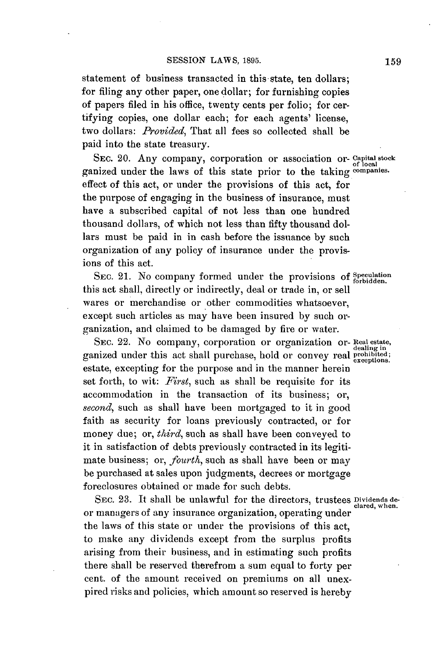statement of business transacted in this state, ten dollars; for filing any other paper, one dollar; for furnishing copies of papers filed in his office, twenty cents per folio; for certifying copies, one dollar each; for each agents' license, two dollars: *Provided,* That all fees so collected shall be paid into the state treasury.

SEc. 20. Any company, corporation or association or- **capital stock** ganized under the laws of this state prior to the taking companies. effect of this act, or under the provisions of this act, for the purpose of engaging in the business of insurance, must have a subscribed capital of not less than one hundred thousand dollars, of which not less than fifty thousand dollars must be paid in in cash before the issuance **by** such organization of any policy of insurance under the provisions of this act.

SEC. 21. No company formed under the provisions of *Speculation*. this act shall, directly or indirectly, deal or trade in, or sell wares or merchandise or other commodities whatsoever, except such articles as may have been insured **by** such organization, and claimed to be damaged **by** fire or water.

SEC. 22. No company, corporation or organization or- Real estate, ganized under this act shall purchase, hold or convey real **prohibited; exceptions.** estate, excepting for the purpose and in the manner herein set forth, to wit: *First,* such as shall be requisite for its accommodation in the transaction of its business; or, *second,* such as shall have been mortgaged to it in good faith as security for loans previously contracted, or for money due; or, *third,* such as shall have been conveyed to it in satisfaction of debts previously contracted in its legitimate business; or, *fourth,* such as shall have been or may be purchased at sales upon judgments, decrees or mortgage foreclosures obtained or made for such debts.

SEC. 23. It shall be unlawful for the directors, trustees **Dividends** deor managers of any insurance organization, operating under the laws of this state or under the provisions of this act, to make any dividends except from the surplus profits arising from their business, and in estimating such profits there shall be reserved therefrom a sum equal to forty per cent. of the amount received on premiums on all unexpired risks and policies, which amount so reserved is hereby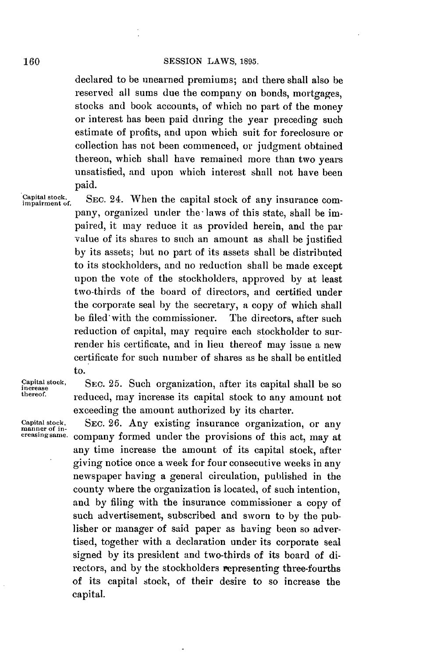declared to be unearned premiums; and there shall also be reserved all sums due the company on bonds, mortgages, stocks and book accounts, of which no part of the money or interest has been paid during the year preceding such estimate of profits, and upon which suit for foreclosure or collection has not been commenced, or judgment obtained thereon, which shall have remained more than two years unsatisfied, and upon which interest shall not have been paid.

**Capital stock.** SEC. 24. When the capital stock of any insurance com- **impairment of.** pany, organized under the-laws of this state, shall be impaired, it may reduce it as provided herein, and the par value of its shares to such an amount as shall be justified **by** its assets; but no part of its assets shall be distributed to its stockholders, and no reduction shall be made except upon the vote of the stockholders, approved **by** at least two-thirds of the board of directors, and certified under the corporate seal **by** the secretary, a copy of which shall be filed'with the commissioner. The directors, after such reduction of capital, may require each stockholder to surrender his certificate, and in lieu thereof may issue a new certificate for such number of shares as he shall be entitled to.

**Capital stock,** SEC. **25.** Such organization, after its capital shall be so **increase** reduced, may increase its capital stock to any amount not exceeding the amount authorized **by** its charter.

Capital stock, SEC. 26. Any existing insurance organization, or any manner of incompany formed under the provisions of this act, may at any time increase the amount of its capital stock, after giving notice once a week for four consecutive weeks in any newspaper having a general circulation, published in the county where the organization is located, of such intention, and **by** filing with the insurance commissioner a copy of such advertisement, subscribed and sworn to **by** the publisher or manager of said paper as having been so advertised, together with a declaration under its corporate seal signed **by** its president and two-thirds of its board of directors, and **by** the stockholders representing three-fourths of its capital stock, of their desire to so increase the capital.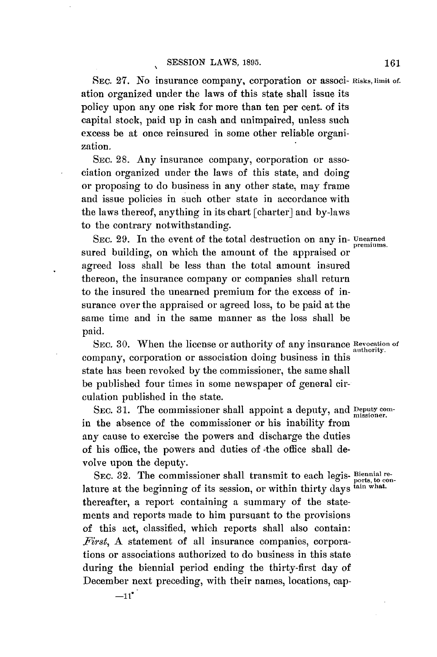SEc. **27.** No insurance company, corporation or associ- **Risks, limit of.** ation organized under the laws of this state shall issue its policy upon any one risk for more than ten per cent. of its capital stock, paid up in cash and unimpaired, unless such excess be at once reinsured in some other reliable organization.

SEc. **28.** Any insurance company, corporation or association organized under the laws of this state, and doing or proposing to do business in any other state, may frame and issue policies in such other state in accordance with the laws thereof, anything in its chart [charter] and by-laws to the contrary notwithstanding.

SEC. **29.** In the event of the total destruction on any in- **Unearned** sured building, on which the amount of the appraised or agreed loss shall be less than the total amount insured thereon, the insurance company or companies shall return to the insured the unearned premium for the excess of insurance over the appraised or agreed loss, to be paid at the same time and in the same manner as the loss shall be paid.

SEC. **30.** When the license or authority of any insurance **Revocation of authority.** company, corporation or association doing business in this state has been revoked **by** the commissioner, the same shall be published four times in some newspaper of general circulation published in the state.

SEC. 31. The commissioner shall appoint a deputy, and **Deputy com**in the absence of the commissioner or his inability from any cause to exercise the powers and discharge the duties of his office, the powers and duties of the office shall devolve upon the deputy.

SEC. 32. The commissioner shall transmit to each legis- **Biennial re**lature at the beginning of its session, or within thirty days  $\frac{\text{data}}{\text{t}}$  what. thereafter, a report containing a summary of the statements and reports made to him pursuant to the provisions of this act, classified, which reports shall also contain: *First,* **A** statement of all insurance companies, corporations or associations authorized to do business in this state during the biennial period ending the thirty-first day of December next preceding, with their names, locations, cap-

premiums.

 $-11$ <sup>\*</sup>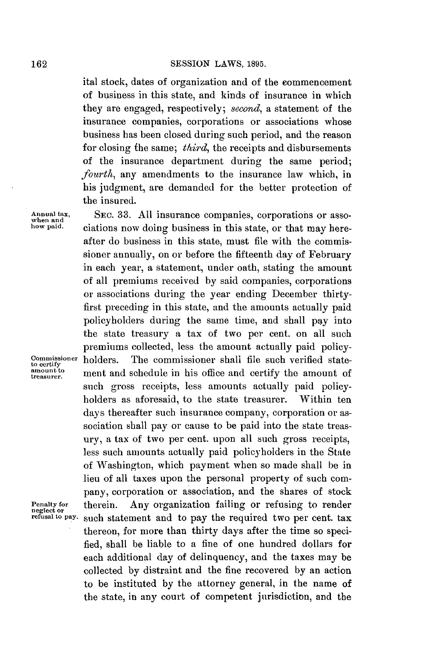ital stock, dates of organization and of the commencement of business in this state, and kinds of insurance in which they are engaged, respectively; *second,* a statement of the insurance companies, corporations or associations whose business has been closed during such period, and the reason for closing fhe same; *third,* the receipts and disbursements of the insurance department during the same period; *fourth,* any amendments to the insurance law which, in his judgment, are demanded for the better protection of the insured.

Annual tax, **SEC. 33. All insurance companies, corporations or asso-**<br>when and<br>how paid. **Custions** now doing business in this state or that may here. ciations now doing business in this state, or that may hereafter do business in this state, must file with the commissioner annually, on or before the fifteenth day of February in each year, a statement, under oath, stating the amount of all premiums received **by** said companies, corporations or associations during the year ending December thirtyfirst preceding in this state, and the amounts actually paid policyholders during the same time, and shall **pay** into the state treasury a tax of two per cent. on all such premiums collected, less the amount actually paid policy**commissioner** holders. The commissioner shall **file** such verified state- **to certify** ment and schedule in his office and certify the amount of such gross receipts, less amounts actually paid policyholders as aforesaid, to the state treasurer. Within ten days thereafter such insurance company, corporation or association shall pay or cause to be paid into the state treasury, a tax of two per cent. upon all such gross receipts, less such amounts actually paid policyholders in the State of Washington, which payment when so made shall be in lieu of all taxes upon the personal property of such company, corporation or association, and the shares of stock Penalty for therein. Any organization failing or refusing to render **neglect or refusal to pay. such** statement and to pay the required two per cent. tax thereon, for more than thirty days after the time so specified, shall be liable to a fine of one hundred dollars for each additional day of delinquency, and the taxes may be collected **by** distraint and the fine recovered **by** an action to be instituted **by** the attorney general, in the name of the state, in any court of competent jurisdiction, and the

**amount to**